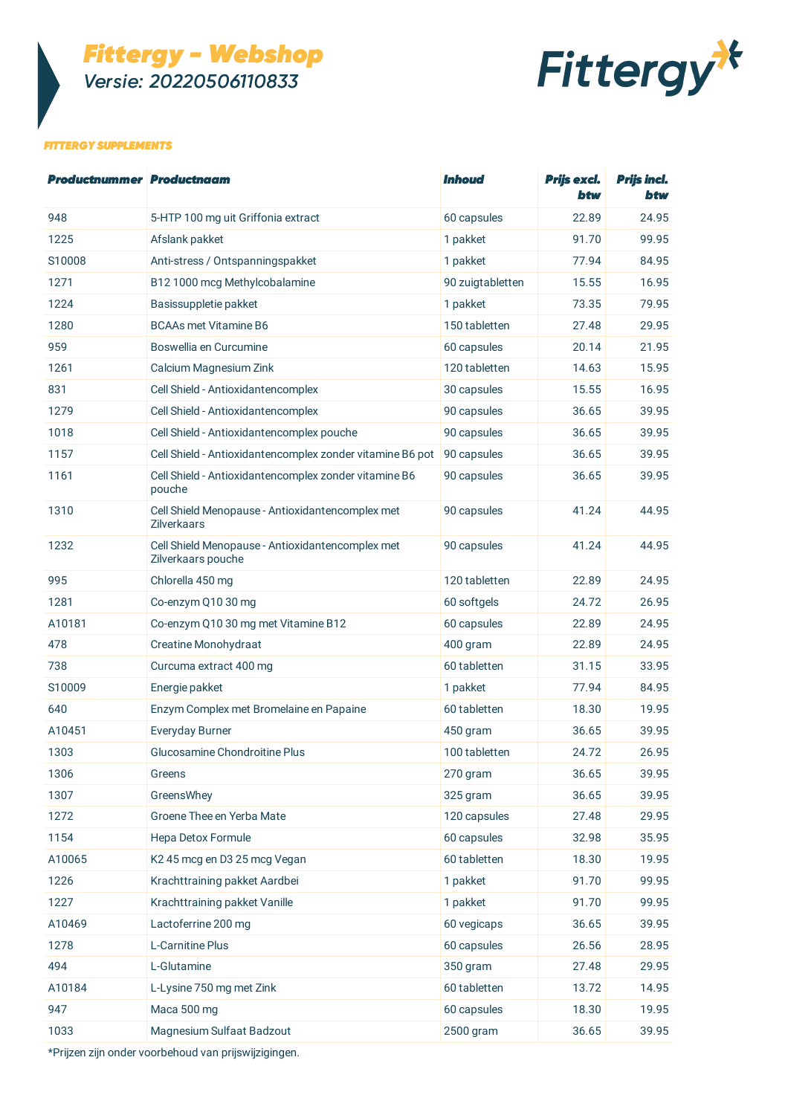# *Fittergy - Webshop Versie: 20220506110833*



## *FITTERGY SUPPLEMENTS*

| <b>Productnummer Productnaam</b> |                                                                        | <i><b>Inhoud</b></i> | Prijs excl.<br>btw | <b>Prijs incl.</b><br>btw |
|----------------------------------|------------------------------------------------------------------------|----------------------|--------------------|---------------------------|
| 948                              | 5-HTP 100 mg uit Griffonia extract                                     | 60 capsules          | 22.89              | 24.95                     |
| 1225                             | Afslank pakket                                                         | 1 pakket             | 91.70              | 99.95                     |
| S10008                           | Anti-stress / Ontspanningspakket                                       | 1 pakket             | 77.94              | 84.95                     |
| 1271                             | B12 1000 mcg Methylcobalamine                                          | 90 zuigtabletten     | 15.55              | 16.95                     |
| 1224                             | Basissuppletie pakket                                                  | 1 pakket             | 73.35              | 79.95                     |
| 1280                             | <b>BCAAs met Vitamine B6</b>                                           | 150 tabletten        | 27.48              | 29.95                     |
| 959                              | Boswellia en Curcumine                                                 | 60 capsules          | 20.14              | 21.95                     |
| 1261                             | Calcium Magnesium Zink                                                 | 120 tabletten        | 14.63              | 15.95                     |
| 831                              | Cell Shield - Antioxidantencomplex                                     | 30 capsules          | 15.55              | 16.95                     |
| 1279                             | Cell Shield - Antioxidantencomplex                                     | 90 capsules          | 36.65              | 39.95                     |
| 1018                             | Cell Shield - Antioxidantencomplex pouche                              | 90 capsules          | 36.65              | 39.95                     |
| 1157                             | Cell Shield - Antioxidantencomplex zonder vitamine B6 pot              | 90 capsules          | 36.65              | 39.95                     |
| 1161                             | Cell Shield - Antioxidantencomplex zonder vitamine B6<br>pouche        | 90 capsules          | 36.65              | 39.95                     |
| 1310                             | Cell Shield Menopause - Antioxidantencomplex met<br><b>Zilverkaars</b> | 90 capsules          | 41.24              | 44.95                     |
| 1232                             | Cell Shield Menopause - Antioxidantencomplex met<br>Zilverkaars pouche | 90 capsules          | 41.24              | 44.95                     |
| 995                              | Chlorella 450 mg                                                       | 120 tabletten        | 22.89              | 24.95                     |
| 1281                             | Co-enzym Q10 30 mg                                                     | 60 softgels          | 24.72              | 26.95                     |
| A10181                           | Co-enzym Q10 30 mg met Vitamine B12                                    | 60 capsules          | 22.89              | 24.95                     |
| 478                              | Creatine Monohydraat                                                   | 400 gram             | 22.89              | 24.95                     |
| 738                              | Curcuma extract 400 mg                                                 | 60 tabletten         | 31.15              | 33.95                     |
| S10009                           | Energie pakket                                                         | 1 pakket             | 77.94              | 84.95                     |
| 640                              | Enzym Complex met Bromelaine en Papaine                                | 60 tabletten         | 18.30              | 19.95                     |
| A10451                           | <b>Everyday Burner</b>                                                 | 450 gram             | 36.65              | 39.95                     |
| 1303                             | Glucosamine Chondroitine Plus                                          | 100 tabletten        | 24.72              | 26.95                     |
| 1306                             | Greens                                                                 | 270 gram             | 36.65              | 39.95                     |
| 1307                             | GreensWhey                                                             | 325 gram             | 36.65              | 39.95                     |
| 1272                             | Groene Thee en Yerba Mate                                              | 120 capsules         | 27.48              | 29.95                     |
| 1154                             | Hepa Detox Formule                                                     | 60 capsules          | 32.98              | 35.95                     |
| A10065                           | K245 mcg en D325 mcg Vegan                                             | 60 tabletten         | 18.30              | 19.95                     |
| 1226                             | Krachttraining pakket Aardbei                                          | 1 pakket             | 91.70              | 99.95                     |
| 1227                             | Krachttraining pakket Vanille                                          | 1 pakket             | 91.70              | 99.95                     |
| A10469                           | Lactoferrine 200 mg                                                    | 60 vegicaps          | 36.65              | 39.95                     |
| 1278                             | L-Carnitine Plus                                                       | 60 capsules          | 26.56              | 28.95                     |
| 494                              | L-Glutamine                                                            | 350 gram             | 27.48              | 29.95                     |
| A10184                           | L-Lysine 750 mg met Zink                                               | 60 tabletten         | 13.72              | 14.95                     |
| 947                              | Maca 500 mg                                                            | 60 capsules          | 18.30              | 19.95                     |
| 1033                             | Magnesium Sulfaat Badzout                                              | 2500 gram            | 36.65              | 39.95                     |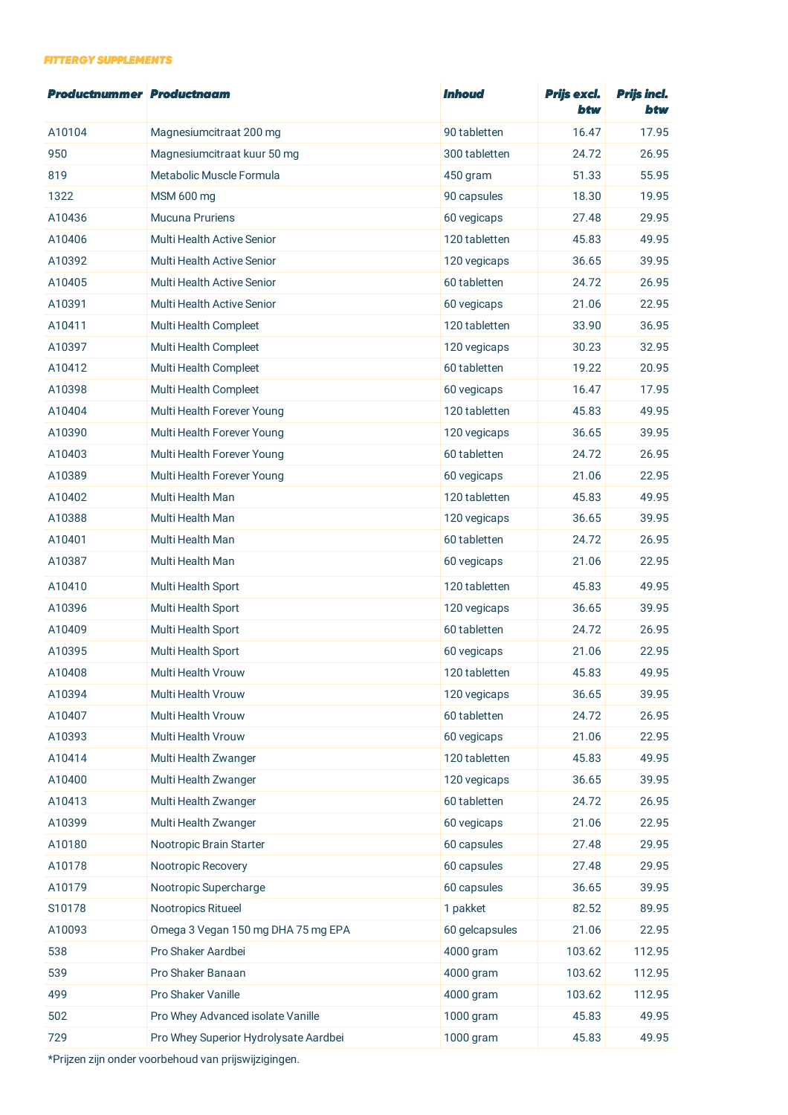## *FITTERGY SUPPLEMENTS*

| Productnummer Productnaam |                                       | <b>Inhoud</b>  | Prijs excl.<br>btw | <b>Prijs incl.</b><br>btw |
|---------------------------|---------------------------------------|----------------|--------------------|---------------------------|
| A10104                    | Magnesiumcitraat 200 mg               | 90 tabletten   | 16.47              | 17.95                     |
| 950                       | Magnesiumcitraat kuur 50 mg           | 300 tabletten  | 24.72              | 26.95                     |
| 819                       | Metabolic Muscle Formula              | 450 gram       | 51.33              | 55.95                     |
| 1322                      | MSM 600 mg                            | 90 capsules    | 18.30              | 19.95                     |
| A10436                    | Mucuna Pruriens                       | 60 vegicaps    | 27.48              | 29.95                     |
| A10406                    | <b>Multi Health Active Senior</b>     | 120 tabletten  | 45.83              | 49.95                     |
| A10392                    | Multi Health Active Senior            | 120 vegicaps   | 36.65              | 39.95                     |
| A10405                    | Multi Health Active Senior            | 60 tabletten   | 24.72              | 26.95                     |
| A10391                    | Multi Health Active Senior            | 60 vegicaps    | 21.06              | 22.95                     |
| A10411                    | Multi Health Compleet                 | 120 tabletten  | 33.90              | 36.95                     |
| A10397                    | Multi Health Compleet                 | 120 vegicaps   | 30.23              | 32.95                     |
| A10412                    | Multi Health Compleet                 | 60 tabletten   | 19.22              | 20.95                     |
| A10398                    | Multi Health Compleet                 | 60 vegicaps    | 16.47              | 17.95                     |
| A10404                    | Multi Health Forever Young            | 120 tabletten  | 45.83              | 49.95                     |
| A10390                    | Multi Health Forever Young            | 120 vegicaps   | 36.65              | 39.95                     |
| A10403                    | Multi Health Forever Young            | 60 tabletten   | 24.72              | 26.95                     |
| A10389                    | Multi Health Forever Young            | 60 vegicaps    | 21.06              | 22.95                     |
| A10402                    | Multi Health Man                      | 120 tabletten  | 45.83              | 49.95                     |
| A10388                    | Multi Health Man                      | 120 vegicaps   | 36.65              | 39.95                     |
| A10401                    | Multi Health Man                      | 60 tabletten   | 24.72              | 26.95                     |
| A10387                    | Multi Health Man                      | 60 vegicaps    | 21.06              | 22.95                     |
| A10410                    | Multi Health Sport                    | 120 tabletten  | 45.83              | 49.95                     |
| A10396                    | Multi Health Sport                    | 120 vegicaps   | 36.65              | 39.95                     |
| A10409                    | Multi Health Sport                    | 60 tabletten   | 24.72              | 26.95                     |
| A10395                    | Multi Health Sport                    | 60 vegicaps    | 21.06              | 22.95                     |
| A10408                    | Multi Health Vrouw                    | 120 tabletten  | 45.83              | 49.95                     |
| A10394                    | Multi Health Vrouw                    | 120 vegicaps   | 36.65              | 39.95                     |
| A10407                    | Multi Health Vrouw                    | 60 tabletten   | 24.72              | 26.95                     |
| A10393                    | Multi Health Vrouw                    | 60 vegicaps    | 21.06              | 22.95                     |
| A10414                    | Multi Health Zwanger                  | 120 tabletten  | 45.83              | 49.95                     |
| A10400                    | Multi Health Zwanger                  | 120 vegicaps   | 36.65              | 39.95                     |
| A10413                    | Multi Health Zwanger                  | 60 tabletten   | 24.72              | 26.95                     |
| A10399                    | Multi Health Zwanger                  | 60 vegicaps    | 21.06              | 22.95                     |
| A10180                    | Nootropic Brain Starter               | 60 capsules    | 27.48              | 29.95                     |
| A10178                    | Nootropic Recovery                    | 60 capsules    | 27.48              | 29.95                     |
| A10179                    | Nootropic Supercharge                 | 60 capsules    | 36.65              | 39.95                     |
| S10178                    | Nootropics Ritueel                    | 1 pakket       | 82.52              | 89.95                     |
| A10093                    | Omega 3 Vegan 150 mg DHA 75 mg EPA    | 60 gelcapsules | 21.06              | 22.95                     |
| 538                       | Pro Shaker Aardbei                    | 4000 gram      | 103.62             | 112.95                    |
| 539                       | Pro Shaker Banaan                     | 4000 gram      | 103.62             | 112.95                    |
| 499                       | Pro Shaker Vanille                    | 4000 gram      | 103.62             | 112.95                    |
| 502                       | Pro Whey Advanced isolate Vanille     | 1000 gram      | 45.83              | 49.95                     |
| 729                       | Pro Whey Superior Hydrolysate Aardbei | 1000 gram      | 45.83              | 49.95                     |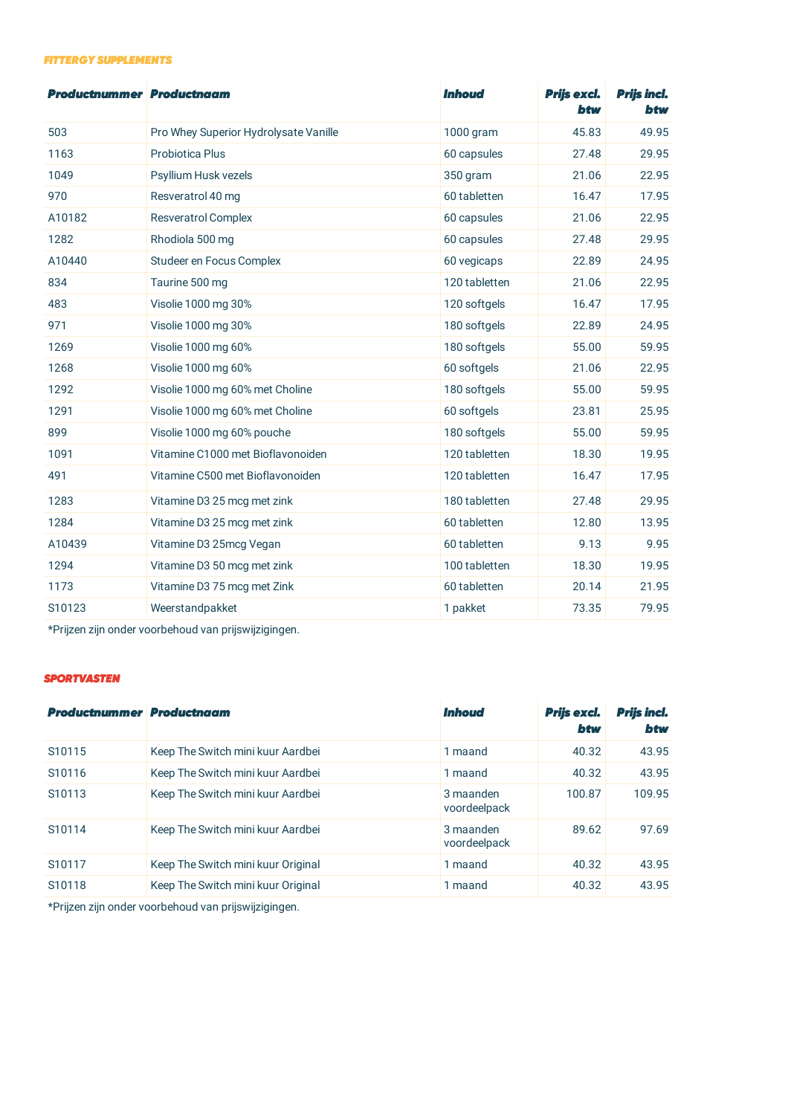## *FITTERGY SUPPLEMENTS*

| <b>Productnummer Productnaam</b> |                                       | <b>Inhoud</b> | Prijs excl.<br>btw | <b>Prijs incl.</b><br>btw |
|----------------------------------|---------------------------------------|---------------|--------------------|---------------------------|
| 503                              | Pro Whey Superior Hydrolysate Vanille | 1000 gram     | 45.83              | 49.95                     |
| 1163                             | <b>Probiotica Plus</b>                | 60 capsules   | 27.48              | 29.95                     |
| 1049                             | Psyllium Husk vezels                  | 350 gram      | 21.06              | 22.95                     |
| 970                              | Resveratrol 40 mg                     | 60 tabletten  | 16.47              | 17.95                     |
| A10182                           | <b>Resveratrol Complex</b>            | 60 capsules   | 21.06              | 22.95                     |
| 1282                             | Rhodiola 500 mg                       | 60 capsules   | 27.48              | 29.95                     |
| A10440                           | Studeer en Focus Complex              | 60 vegicaps   | 22.89              | 24.95                     |
| 834                              | Taurine 500 mg                        | 120 tabletten | 21.06              | 22.95                     |
| 483                              | Visolie 1000 mg 30%                   | 120 softgels  | 16.47              | 17.95                     |
| 971                              | Visolie 1000 mg 30%                   | 180 softgels  | 22.89              | 24.95                     |
| 1269                             | Visolie 1000 mg 60%                   | 180 softgels  | 55.00              | 59.95                     |
| 1268                             | Visolie 1000 mg 60%                   | 60 softgels   | 21.06              | 22.95                     |
| 1292                             | Visolie 1000 mg 60% met Choline       | 180 softgels  | 55.00              | 59.95                     |
| 1291                             | Visolie 1000 mg 60% met Choline       | 60 softgels   | 23.81              | 25.95                     |
| 899                              | Visolie 1000 mg 60% pouche            | 180 softgels  | 55.00              | 59.95                     |
| 1091                             | Vitamine C1000 met Bioflavonoiden     | 120 tabletten | 18.30              | 19.95                     |
| 491                              | Vitamine C500 met Bioflavonoiden      | 120 tabletten | 16.47              | 17.95                     |
| 1283                             | Vitamine D3 25 mcg met zink           | 180 tabletten | 27.48              | 29.95                     |
| 1284                             | Vitamine D3 25 mcg met zink           | 60 tabletten  | 12.80              | 13.95                     |
| A10439                           | Vitamine D3 25mcg Vegan               | 60 tabletten  | 9.13               | 9.95                      |
| 1294                             | Vitamine D3 50 mcg met zink           | 100 tabletten | 18.30              | 19.95                     |
| 1173                             | Vitamine D3 75 mcg met Zink           | 60 tabletten  | 20.14              | 21.95                     |
| S10123                           | Weerstandpakket                       | 1 pakket      | 73.35              | 79.95                     |

\*Prijzen zijn onder voorbehoud van prijswijzigingen.

## *SPORTVASTEN*

| <b>Productnummer Productnaam</b> |                                    | <b>Inhoud</b>             | Prijs excl.<br>btw | <b>Prijs incl.</b><br>btw |
|----------------------------------|------------------------------------|---------------------------|--------------------|---------------------------|
| S <sub>10115</sub>               | Keep The Switch mini kuur Aardbei  | 1 maand                   | 40.32              | 43.95                     |
| S <sub>10116</sub>               | Keep The Switch mini kuur Aardbei  | 1 maand                   | 40.32              | 43.95                     |
| S <sub>10113</sub>               | Keep The Switch mini kuur Aardbei  | 3 maanden<br>voordeelpack | 100.87             | 109.95                    |
| S <sub>10114</sub>               | Keep The Switch mini kuur Aardbei  | 3 maanden<br>voordeelpack | 89.62              | 97.69                     |
| S <sub>10117</sub>               | Keep The Switch mini kuur Original | 1 maand                   | 40.32              | 43.95                     |
| S <sub>10118</sub>               | Keep The Switch mini kuur Original | 1 maand                   | 40.32              | 43.95                     |